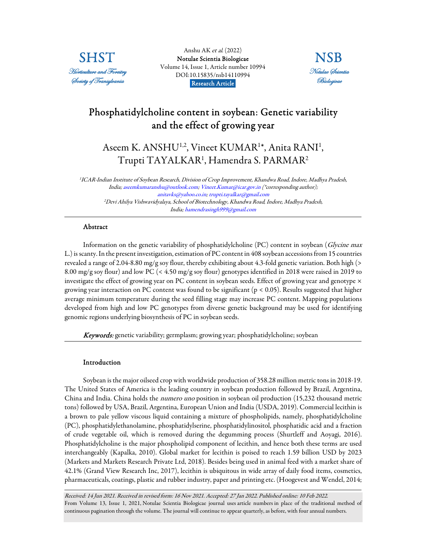

Anshu AK et al. (2022) [Notulae Scientia Biologicae](https://www.notulaebiologicae.ro/index.php/nsb/index)  Volume 14, Issue 1, Article number 10994 DOI:10.15835/nsb14110994 Research Article.



# Phosphatidylcholine content in soybean: Genetic variability and the effect of growing year

Aseem K. ANSHU<sup>1,2</sup>, Vineet KUMAR<sup>1\*</sup>, Anita RANI<sup>1</sup>, Trupti TAYALKAR<sup>1</sup> , Hamendra S. PARMAR<sup>2</sup>

1 ICAR-Indian Institute of Soybean Research, Division of Crop Improvement, Khandwa Road, Indore, Madhya Pradesh, India; aseemkumaranshu@outlook.com; Vineet.Kumar@icar.gov.in (\*corresponding author); anitavks@yahoo.co.in; trupti.tayalkar@gmail.com <sup>2</sup>Devi Ahilya Vishwavidyalaya, School of Biotechnology, Khandwa Road, Indore, Madhya Pradesh, India; hamendrasingh999@gmail.com

## Abstract

Information on the genetic variability of phosphatidylcholine (PC) content in soybean (Glycine max L.) is scanty. In the present investigation, estimation of PC content in 408 soybean accessions from 15 countries revealed a range of 2.04-8.80 mg/g soy flour, thereby exhibiting about 4.3-fold genetic variation. Both high (> 8.00 mg/g soy flour) and low PC (< 4.50 mg/g soy flour) genotypes identified in 2018 were raised in 2019 to investigate the effect of growing year on PC content in soybean seeds. Effect of growing year and genotype  $\times$ growing year interaction on PC content was found to be significant (p < 0.05). Results suggested that higher average minimum temperature during the seed filling stage may increase PC content. Mapping populations developed from high and low PC genotypes from diverse genetic background may be used for identifying genomic regions underlying biosynthesis of PC in soybean seeds.

Keywords: genetic variability; germplasm; growing year; phosphatidylcholine; soybean

## Introduction

Soybean is the major oilseed crop with worldwide production of 358.28 million metric tons in 2018-19. The United States of America is the leading country in soybean production followed by Brazil, Argentina, China and India. China holds the numero uno position in soybean oil production (15,232 thousand metric tons) followed by USA, Brazil, Argentina, European Union and India (USDA, 2019). Commercial lecithin is a brown to pale yellow viscous liquid containing a mixture of phospholipids, namely, phosphatidylcholine (PC), phosphatidylethanolamine, phosphatidylserine, phosphatidylinositol, phosphatidic acid and a fraction of crude vegetable oil, which is removed during the degumming process (Shurtleff and Aoyagi, 2016). Phosphatidylcholine is the major phospholipid component of lecithin, and hence both these terms are used interchangeably (Kapalka, 2010). Global market for lecithin is poised to reach 1.59 billion USD by 2023 (Markets and Markets Research Private Ltd, 2018). Besides being used in animal feed with a market share of 42.1% (Grand View Research Inc, 2017), lecithin is ubiquitous in wide array of daily food items, cosmetics, pharmaceuticals, coatings, plastic and rubber industry, paper and printing etc. (Hoogevest and Wendel, 2014;

Received: 14 Jun 2021. Received in revised form: 16 Nov 2021. Accepted: 27 Jan 2022. Published online: 10 Feb 2022. From Volume 13, Issue 1, 2021, Notulae Scientia Biologicae journal uses article numbers in place of the traditional method of continuous pagination through the volume. The journal will continue to appear quarterly, as before, with four annual numbers.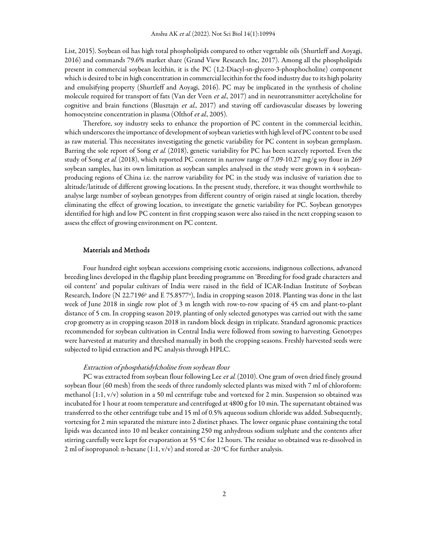List, 2015). Soybean oil has high total phospholipids compared to other vegetable oils (Shurtleff and Aoyagi, 2016) and commands 79.6% market share (Grand View Research Inc, 2017). Among all the phospholipids present in commercial soybean lecithin, it is the PC (1,2-Diacyl-sn-glycero-3-phosphocholine) component which is desired to be in high concentration in commercial lecithin for the food industry due to its high polarity and emulsifying property (Shurtleff and Aoyagi, 2016). PC may be implicated in the synthesis of choline molecule required for transport of fats (Van der Veen et al., 2017) and in neurotransmitter acetylcholine for cognitive and brain functions (Blusztajn et al., 2017) and staving off cardiovascular diseases by lowering homocysteine concentration in plasma (Olthof et al., 2005).

Therefore, soy industry seeks to enhance the proportion of PC content in the commercial lecithin, which underscores the importance of development of soybean varieties with high level of PC content to be used as raw material. This necessitates investigating the genetic variability for PC content in soybean germplasm. Barring the sole report of Song et al. (2018), genetic variability for PC has been scarcely reported. Even the study of Song *et al.* (2018), which reported PC content in narrow range of 7.09-10.27 mg/g soy flour in 269 soybean samples, has its own limitation as soybean samples analysed in the study were grown in 4 soybeanproducing regions of China i.e. the narrow variability for PC in the study was inclusive of variation due to altitude/latitude of different growing locations. In the present study, therefore, it was thought worthwhile to analyse large number of soybean genotypes from different country of origin raised at single location, thereby eliminating the effect of growing location, to investigate the genetic variability for PC. Soybean genotypes identified for high and low PC content in first cropping season were also raised in the next cropping season to assess the effect of growing environment on PC content.

### Materials and Methods

Four hundred eight soybean accessions comprising exotic accessions, indigenous collections, advanced breeding lines developed in the flagship plant breeding programme on 'Breeding for food grade characters and oil content' and popular cultivars of India were raised in the field of ICAR-Indian Institute of Soybean Research, Indore (N 22.7196° and E 75.8577°), India in cropping season 2018. Planting was done in the last week of June 2018 in single row plot of 3 m length with row-to-row spacing of 45 cm and plant-to-plant distance of 5 cm. In cropping season 2019, planting of only selected genotypes was carried out with the same crop geometry as in cropping season 2018 in random block design in triplicate. Standard agronomic practices recommended for soybean cultivation in Central India were followed from sowing to harvesting. Genotypes were harvested at maturity and threshed manually in both the cropping seasons. Freshly harvested seeds were subjected to lipid extraction and PC analysis through HPLC.

#### Extraction of phosphatidylcholine from soybean flour

PC was extracted from soybean flour following Lee et al. (2010). One gram of oven dried finely ground soybean flour (60 mesh) from the seeds of three randomly selected plants was mixed with 7 ml of chloroform: methanol (1:1, v/v) solution in a 50 ml centrifuge tube and vortexed for 2 min. Suspension so obtained was incubated for 1 hour at room temperature and centrifuged at 4800 g for 10 min. The supernatant obtained was transferred to the other centrifuge tube and 15 ml of 0.5% aqueous sodium chloride was added. Subsequently, vortexing for 2 min separated the mixture into 2 distinct phases. The lower organic phase containing the total lipids was decanted into 10 ml beaker containing 250 mg anhydrous sodium sulphate and the contents after stirring carefully were kept for evaporation at 55 °C for 12 hours. The residue so obtained was re-dissolved in 2 ml of isopropanol: n-hexane  $(1:1, v/v)$  and stored at -20 °C for further analysis.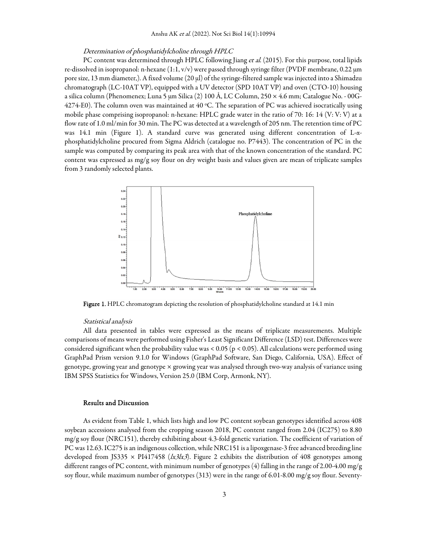## Determination of phosphatidylcholine through HPLC

PC content was determined through HPLC following Jiang et al. (2015). For this purpose, total lipids re-dissolved in isopropanol: n-hexane (1:1, v/v) were passed through syringe filter (PVDF membrane, 0.22 µm pore size, 13 mm diameter,). A fixed volume (20 µl) of the syringe-filtered sample was injected into a Shimadzu chromatograph (LC-10AT VP), equipped with a UV detector (SPD 10AT VP) and oven (CTO-10) housing a silica column (Phenomenex; Luna 5 µm Silica (2) 100 Å, LC Column, 250 × 4.6 mm; Catalogue No. - 00G-4274-E0). The column oven was maintained at 40 °C. The separation of PC was achieved isocratically using mobile phase comprising isopropanol: n-hexane: HPLC grade water in the ratio of 70: 16: 14 (V: V: V) at a flow rate of 1.0 ml/min for 30 min. The PC was detected at a wavelength of 205 nm. The retention time of PC was 14.1 min (Figure 1). A standard curve was generated using different concentration of L-αphosphatidylcholine procured from Sigma Aldrich (catalogue no. P7443). The concentration of PC in the sample was computed by comparing its peak area with that of the known concentration of the standard. PC content was expressed as mg/g soy flour on dry weight basis and values given are mean of triplicate samples from 3 randomly selected plants.



Figure 1. HPLC chromatogram depicting the resolution of phosphatidylcholine standard at 14.1 min

#### Statistical analysis

All data presented in tables were expressed as the means of triplicate measurements. Multiple comparisons of means were performed using Fisher's Least Significant Difference (LSD) test. Differences were considered significant when the probability value was < 0.05 (p < 0.05). All calculations were performed using GraphPad Prism version 9.1.0 for Windows (GraphPad Software, San Diego, California, USA). Effect of genotype, growing year and genotype × growing year was analysed through two-way analysis of variance using IBM SPSS Statistics for Windows, Version 25.0 (IBM Corp, Armonk, NY).

#### Results and Discussion

As evident from Table 1, which lists high and low PC content soybean genotypes identified across 408 soybean accessions analysed from the cropping season 2018, PC content ranged from 2.04 (IC275) to 8.80 mg/g soy flour (NRC151), thereby exhibiting about 4.3-fold genetic variation. The coefficient of variation of PC was 12.63. IC275 is an indigenous collection, while NRC151 is a lipoxgenase-3 free advanced breeding line developed from JS335  $\times$  PI417458 (*k3lx3*). Figure 2 exhibits the distribution of 408 genotypes among different ranges of PC content, with minimum number of genotypes (4) falling in the range of 2.00-4.00 mg/g soy flour, while maximum number of genotypes (313) were in the range of 6.01-8.00 mg/g soy flour. Seventy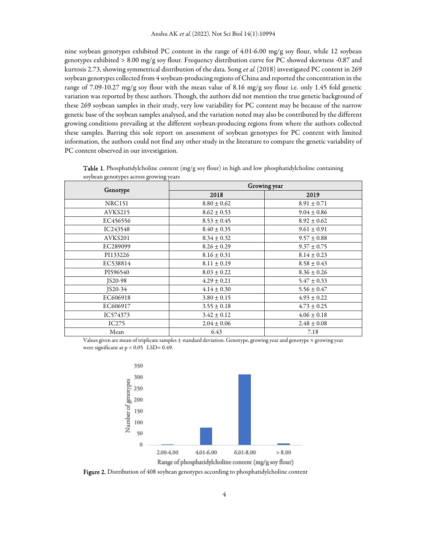nine soybean genotypes exhibited PC content in the range of 4.01-6.00 mg/g soy flour, while 12 soybean genotypes exhibited > 8.00 mg/g soy flour. Frequency distribution curve for PC showed skewness -0.87 and kurtosis 2.73, showing symmetrical distribution of the data. Song et al. (2018) investigated PC content in 269 soybean genotypes collected from 4 soybean-producing regions of China and reported the concentration in the range of 7.09-10.27 mg/g soy flour with the mean value of 8.16 mg/g soy flour i.e. only 1.45 fold genetic variation was reported by these authors. Though, the authors did not mention the true genetic background of these 269 soybean samples in their study, very low variability for PC content may be because of the narrow genetic base of the soybean samples analysed, and the variation noted may also be contributed by the different growing conditions prevailing at the different soybean-producing regions from where the authors collected these samples. Barring this sole report on assessment of soybean genotypes for PC content with limited information, the authors could not find any other study in the literature to compare the genetic variability of PC content observed in our investigation.

| Genotype       | Growing year    |                 |  |  |
|----------------|-----------------|-----------------|--|--|
|                | 2018            | 2019            |  |  |
| <b>NRC151</b>  | $8.80 \pm 0.62$ | $8.91 \pm 0.71$ |  |  |
| AVKS215        | $8.62 \pm 0.53$ | $9.04 \pm 0.86$ |  |  |
| EC456556       | $8.53 \pm 0.45$ | $8.92 \pm 0.62$ |  |  |
| IC243548       | $8.40 \pm 0.35$ | $9.61 \pm 0.91$ |  |  |
| AVKS201        | $8.34 \pm 0.32$ | $9.57 \pm 0.88$ |  |  |
| EC289099       | $8.26 \pm 0.29$ | $9.37 \pm 0.75$ |  |  |
| PI133226       | $8.16 \pm 0.31$ | $8.14 \pm 0.23$ |  |  |
| EC538814       | $8.11 \pm 0.19$ | $8.58 \pm 0.43$ |  |  |
| PI596540       | $8.03 \pm 0.22$ | $8.36 \pm 0.26$ |  |  |
| <b>JS20-98</b> | $4.29 \pm 0.21$ | $5.47 \pm 0.33$ |  |  |
| $JS20-34$      | $4.14 \pm 0.30$ | $5.56 \pm 0.47$ |  |  |
| EC606918       | $3.80 \pm 0.15$ | $4.93 \pm 0.22$ |  |  |
| EC606917       | $3.55 \pm 0.18$ | $4.73 \pm 0.25$ |  |  |
| IC574373       | $3.42 \pm 0.12$ | $4.06 \pm 0.18$ |  |  |
| IC275          | $2.04 \pm 0.06$ | $2.48 \pm 0.08$ |  |  |
| Mean           | 6.43            | 7.18            |  |  |

Table 1. Phosphatidylcholine content (mg/g soy flour) in high and low phosphatidylcholine containing soybean genotypes across growing years

Values given are mean of triplicate samples ± standard deviation. Genotype, growing year and genotype × growing year were significant at  $p < 0.05$  LSD= 0.49.



Figure 2. Distribution of 408 soybean genotypes according to phosphatidylcholine content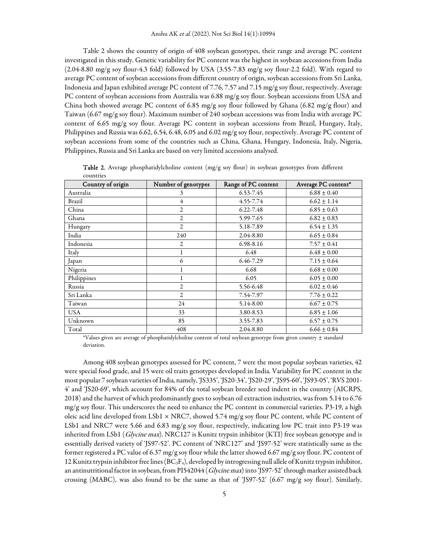Table 2 shows the country of origin of 408 soybean genotypes, their range and average PC content investigated in this study. Genetic variability for PC content was the highest in soybean accessions from India (2.04-8.80 mg/g soy flour-4.3 fold) followed by USA (3.55-7.83 mg/g soy flour-2.2 fold). With regard to average PC content of soybean accessions from different country of origin, soybean accessions from Sri Lanka, Indonesia and Japan exhibited average PC content of 7.76, 7.57 and 7.15 mg/g soy flour, respectively. Average PC content of soybean accessions from Australia was 6.88 mg/g soy flour. Soybean accessions from USA and China both showed average PC content of 6.85 mg/g soy flour followed by Ghana (6.82 mg/g flour) and Taiwan (6.67 mg/g soy flour). Maximum number of 240 soybean accessions was from India with average PC content of 6.65 mg/g soy flour. Average PC content in soybean accessions from Brazil, Hungary, Italy, Philippines and Russia was 6.62, 6.54, 6.48, 6.05 and 6.02 mg/g soy flour, respectively. Average PC content of soybean accessions from some of the countries such as China, Ghana, Hungary, Indonesia, Italy, Nigeria, Philippines, Russia and Sri Lanka are based on very limited accessions analysed.

| Country of origin | Number of genotypes | Range of PC content | Average PC content* |
|-------------------|---------------------|---------------------|---------------------|
| Australia         | 3                   | 6.53-7.45           | $6.88 \pm 0.40$     |
| Brazil            | $\overline{4}$      | 4.55-7.74           | $6.62 \pm 1.14$     |
| China             | $\overline{2}$      | $6.22 - 7.48$       | $6.85 \pm 0.63$     |
| Ghana             | $\overline{2}$      | 5.99-7.65           | $6.82 \pm 0.83$     |
| Hungary           | $\overline{2}$      | 5.18-7.89           | $6.54 \pm 1.35$     |
| India             | 240                 | 2.04-8.80           | $6.65 \pm 0.84$     |
| Indonesia         | $\overline{2}$      | 6.98-8.16           | $7.57 \pm 0.41$     |
| Italy             | 1                   | 6.48                | $6.48 \pm 0.00$     |
| Japan             | 6                   | 6.46-7.29           | $7.15 \pm 0.64$     |
| Nigeria           | ı                   | 6.68                | $6.68 \pm 0.00$     |
| Philippines       |                     | 6.05                | $6.05 \pm 0.00$     |
| Russia            | $\overline{2}$      | 5.56-6.48           | $6.02 \pm 0.46$     |
| Sri Lanka         | 2                   | 7.54-7.97           | $7.76 \pm 0.22$     |
| Taiwan            | 24                  | 5.14-8.00           | $6.67 \pm 0.75$     |
| <b>USA</b>        | 33                  | 3.80-8.53           | $6.85 \pm 1.06$     |
| Unknown           | 85                  | 3.55-7.83           | $6.57 \pm 0.75$     |
| Total             | 408                 | 2.04-8.80           | $6.66 \pm 0.84$     |

Table 2. Average phosphatidylcholine content (mg/g soy flour) in soybean genotypes from different countries

\*Values given are average of phosphatidylcholine content of total soybean genotype from given country ± standard deviation.

Among 408 soybean genotypes assessed for PC content, 7 were the most popular soybean varieties, 42 were special food grade, and 15 were oil traits genotypes developed in India. Variability for PC content in the most popular 7 soybean varieties of India, namely, 'JS335', 'JS20-34', 'JS20-29', 'JS95-60', 'JS93-05', 'RVS 2001- 4' and 'JS20-69', which account for 84% of the total soybean breeder seed indent in the country (AICRPS, 2018) and the harvest of which predominantly goes to soybean oil extraction industries, was from 5.14 to 6.76 mg/g soy flour. This underscores the need to enhance the PC content in commercial varieties. P3-19, a high oleic acid line developed from LSb1  $\times$  NRC7, showed 5.74 mg/g soy flour PC content, while PC content of LSb1 and NRC7 were 5.66 and 6.83 mg/g soy flour, respectively, indicating low PC trait into P3-19 was inherited from LSb1 (Glycine max). NRC127 is Kunitz trypsin inhibitor (KTI) free soybean genotype and is essentially derived variety of 'JS97-52'. PC content of 'NRC127' and 'JS97-52' were statistically same as the former registered a PC value of 6.37 mg/g soy flour while the latter showed 6.67 mg/g soy flour. PC content of 12 Kunitz trypsin inhibitor free lines ( $BC_3F_4$ ), developed by introgressing null allele of Kunitz trypsin inhibitor, an antinutritional factor in soybean, from PI542044 (Glycine max) into 'JS97-52' through marker assisted back crossing (MABC), was also found to be the same as that of 'JS97-52' (6.67 mg/g soy flour). Similarly,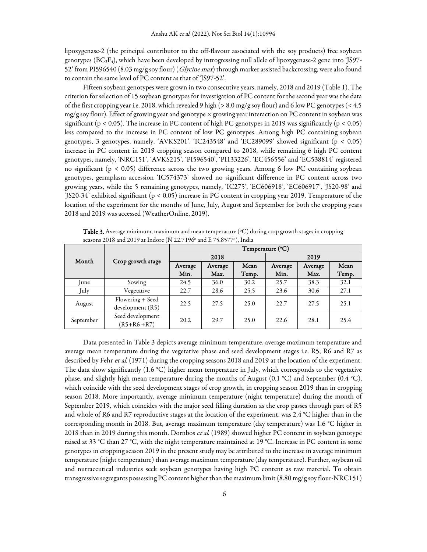lipoxygenase-2 (the principal contributor to the off-flavour associated with the soy products) free soybean genotypes (BC3F4), which have been developed by introgressing null allele of lipoxygenase-2 gene into 'JS97- 52' from PI596540 (8.03 mg/g soy flour) (*Glycine max*) through marker assisted backcrossing, were also found to contain the same level of PC content as that of 'JS97-52'.

Fifteen soybean genotypes were grown in two consecutive years, namely, 2018 and 2019 (Table 1). The criterion for selection of 15 soybean genotypes for investigation of PC content for the second year was the data of the first cropping year i.e. 2018, which revealed 9 high (> 8.0 mg/g soy flour) and 6 low PC genotypes (< 4.5 mg/g soy flour). Effect of growing year and genotype × growing year interaction on PC content in soybean was significant ( $p < 0.05$ ). The increase in PC content of high PC genotypes in 2019 was significantly ( $p < 0.05$ ) less compared to the increase in PC content of low PC genotypes. Among high PC containing soybean genotypes, 3 genotypes, namely, 'AVKS201', 'IC243548' and 'EC289099' showed significant (p < 0.05) increase in PC content in 2019 cropping season compared to 2018, while remaining 6 high PC content genotypes, namely, 'NRC151', 'AVKS215', 'PI596540', 'PI133226', 'EC456556' and 'EC538814' registered no significant (p < 0.05) difference across the two growing years. Among 6 low PC containing soybean genotypes, germplasm accession 'IC574373' showed no significant difference in PC content across two growing years, while the 5 remaining genotypes, namely, 'IC275', 'EC606918', 'EC606917', 'JS20-98' and 'JS20-34' exhibited significant (p < 0.05) increase in PC content in cropping year 2019. Temperature of the location of the experiment for the months of June, July, August and September for both the cropping years 2018 and 2019 was accessed (WeatherOnline, 2019).

|           | Crop growth stage                    | Temperature (°C) |                 |               |                 |                 |               |
|-----------|--------------------------------------|------------------|-----------------|---------------|-----------------|-----------------|---------------|
| Month     |                                      | 2018             |                 | 2019          |                 |                 |               |
|           |                                      | Average<br>Min.  | Average<br>Max. | Mean<br>Temp. | Average<br>Min. | Average<br>Max. | Mean<br>Temp. |
| June      | Sowing                               | 24.5             | 36.0            | 30.2          | 25.7            | 38.3            | 32.1          |
| July      | Vegetative                           | 22.7             | 28.6            | 25.5          | 23.6            | 30.6            | 27.1          |
| August    | Flowering + Seed<br>development (R5) | 22.5             | 27.5            | 25.0          | 22.7            | 27.5            | 25.1          |
| September | Seed development<br>$(R5 + R6 + R7)$ | 20.2             | 29.7            | 25.0          | 22.6            | 28.1            | 25.4          |

**Table 3.** Average minimum, maximum and mean temperature  $(\mathcal{C})$  during crop growth stages in cropping seasons 2018 and 2019 at Indore (N 22.7196<sup>°</sup> and E 75.8577<sup>°</sup>), India

Data presented in Table 3 depicts average minimum temperature, average maximum temperature and average mean temperature during the vegetative phase and seed development stages i.e. R5, R6 and R7 as described by Fehr et al. (1971) during the cropping seasons 2018 and 2019 at the location of the experiment. The data show significantly (1.6 °C) higher mean temperature in July, which corresponds to the vegetative phase, and slightly high mean temperature during the months of August  $(0.1 \degree C)$  and September  $(0.4 \degree C)$ , which coincide with the seed development stages of crop growth, in cropping season 2019 than in cropping season 2018. More importantly, average minimum temperature (night temperature) during the month of September 2019, which coincides with the major seed filling duration as the crop passes through part of R5 and whole of R6 and R7 reproductive stages at the location of the experiment, was 2.4 °C higher than in the corresponding month in 2018. But, average maximum temperature (day temperature) was 1.6 °C higher in 2018 than in 2019 during this month. Dornbos et al. (1989) showed higher PC content in soybean genotype raised at 33 °C than 27 °C, with the night temperature maintained at 19 °C. Increase in PC content in some genotypes in cropping season 2019 in the present study may be attributed to the increase in average minimum temperature (night temperature) than average maximum temperature (day temperature). Further, soybean oil and nutraceutical industries seek soybean genotypes having high PC content as raw material. To obtain transgressive segregants possessing PC content higher than the maximum limit (8.80 mg/g soy flour-NRC151)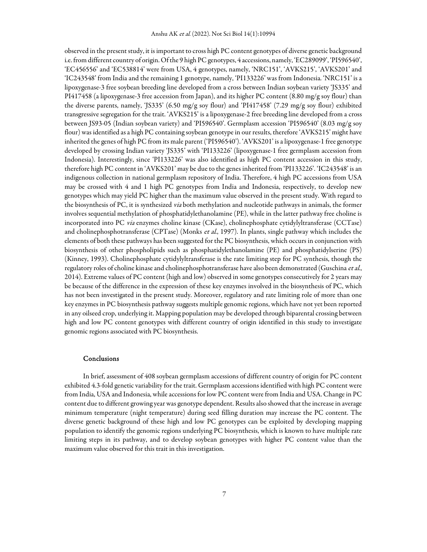observed in the present study, it is important to cross high PC content genotypes of diverse genetic background i.e. from different country of origin. Of the 9 high PC genotypes, 4 accessions, namely, 'EC289099', 'PI596540', 'EC456556' and 'EC538814' were from USA, 4 genotypes, namely, 'NRC151', 'AVKS215', 'AVKS201' and 'IC243548' from India and the remaining 1 genotype, namely, 'PI133226' was from Indonesia. 'NRC151' is a lipoxygenase-3 free soybean breeding line developed from a cross between Indian soybean variety 'JS335' and PI417458 (a lipoxygenase-3 free accession from Japan), and its higher PC content (8.80 mg/g soy flour) than the diverse parents, namely, 'JS335' (6.50 mg/g soy flour) and 'PI417458' (7.29 mg/g soy flour) exhibited transgressive segregation for the trait. 'AVKS215' is a lipoxygenase-2 free breeding line developed from a cross between JS93-05 (Indian soybean variety) and 'PI596540'. Germplasm accession 'PI596540' (8.03 mg/g soy flour) was identified as a high PC containing soybean genotype in our results, therefore 'AVKS215' might have inherited the genes of high PC from its male parent ('PI596540'). 'AVKS201' is a lipoxygenase-1 free genotype developed by crossing Indian variety 'JS335' with 'PI133226' (lipoxygenase-1 free germplasm accession from Indonesia). Interestingly, since 'PI133226' was also identified as high PC content accession in this study, therefore high PC content in 'AVKS201' may be due to the genes inherited from 'PI133226'. 'IC243548' is an indigenous collection in national germplasm repository of India. Therefore, 4 high PC accessions from USA may be crossed with 4 and 1 high PC genotypes from India and Indonesia, respectively, to develop new genotypes which may yield PC higher than the maximum value observed in the present study. With regard to the biosynthesis of PC, it is synthesized via both methylation and nucleotide pathways in animals, the former involves sequential methylation of phosphatidylethanolamine (PE), while in the latter pathway free choline is incorporated into PC via enzymes choline kinase (CKase), cholinephosphate cytidylyltransferase (CCTase) and cholinephosphotransferase (CPTase) (Monks et al., 1997). In plants, single pathway which includes the elements of both these pathways has been suggested for the PC biosynthesis, which occurs in conjunction with biosynthesis of other phospholipids such as phosphatidylethanolamine (PE) and phosphatidylserine (PS) (Kinney, 1993). Cholinephosphate cytidylyltransferase is the rate limiting step for PC synthesis, though the regulatory roles of choline kinase and cholinephosphotransferase have also been demonstrated (Guschina et al., 2014). Extreme values of PC content (high and low) observed in some genotypes consecutively for 2 years may be because of the difference in the expression of these key enzymes involved in the biosynthesis of PC, which has not been investigated in the present study. Moreover, regulatory and rate limiting role of more than one key enzymes in PC biosynthesis pathway suggests multiple genomic regions, which have not yet been reported in any oilseed crop, underlying it. Mapping population may be developed through biparental crossing between high and low PC content genotypes with different country of origin identified in this study to investigate genomic regions associated with PC biosynthesis.

#### Conclusions

In brief, assessment of 408 soybean germplasm accessions of different country of origin for PC content exhibited 4.3-fold genetic variability for the trait. Germplasm accessions identified with high PC content were from India, USA and Indonesia, while accessions for low PC content were from India and USA. Change in PC content due to different growing year was genotype dependent. Results also showed that the increase in average minimum temperature (night temperature) during seed filling duration may increase the PC content. The diverse genetic background of these high and low PC genotypes can be exploited by developing mapping population to identify the genomic regions underlying PC biosynthesis, which is known to have multiple rate limiting steps in its pathway, and to develop soybean genotypes with higher PC content value than the maximum value observed for this trait in this investigation.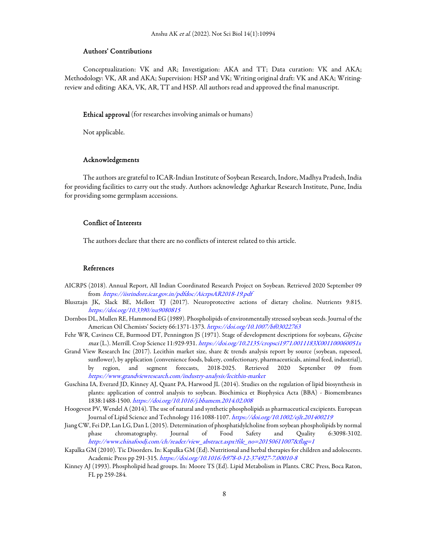#### Authors' Contributions

Conceptualization: VK and AR; Investigation: AKA and TT; Data curation: VK and AKA; Methodology: VK, AR and AKA; Supervision: HSP and VK; Writing original draft: VK and AKA; Writingreview and editing: AKA, VK, AR, TT and HSP. All authors read and approved the final manuscript.

## Ethical approval (for researches involving animals or humans)

Not applicable.

#### Acknowledgements

The authors are grateful to ICAR-Indian Institute of Soybean Research, Indore, Madhya Pradesh, India for providing facilities to carry out the study. Authors acknowledge Agharkar Research Institute, Pune, India for providing some germplasm accessions.

#### Conflict of Interests

The authors declare that there are no conflicts of interest related to this article.

#### References

- AICRPS (2018). Annual Report, All Indian Coordinated Research Project on Soybean. Retrieved 2020 September 09 from https://iisrindore.icar.gov.in/pdfdoc/AicrpsAR2018-19.pdf
- Blusztajn JK, Slack BE, Mellott TJ (2017). Neuroprotective actions of dietary choline. Nutrients 9:815. https://doi.org/10.3390/nu9080815
- Dornbos DL, Mullen RE, Hammond EG (1989). Phospholipids of environmentally stressed soybean seeds. Journal of the American Oil Chemists' Society 66:1371-1373. https://doi.org/10.1007/bf03022763
- Fehr WR, Caviness CE, Burmood DT, Pennington JS (1971). Stage of development descriptions for soybeans, Glycine max (L.). Merrill. Crop Science 11:929-931. https://doi.org/10.2135/cropsci1971.0011183X001100060051x
- Grand View Research Inc (2017). Lecithin market size, share & trends analysis report by source (soybean, rapeseed, sunflower), by application (convenience foods, bakery, confectionary, pharmaceuticals, animal feed, industrial), by region, and segment forecasts, 2018-2025. Retrieved 2020 September 09 from https://www.grandviewresearch.com/industry-analysis/lecithin-market
- Guschina IA, Everard JD, Kinney AJ, Quant PA, Harwood JL (2014). Studies on the regulation of lipid biosynthesis in plants: application of control analysis to soybean. Biochimica et Biophysica Acta (BBA) - Biomembranes 1838:1488-1500. https://doi.org/10.1016/j.bbamem.2014.02.008
- Hoogevest PV, Wendel A (2014). The use of natural and synthetic phospholipids as pharmaceutical excipients. European Journal of Lipid Science and Technology 116:1088-1107. https://doi.org/10.1002/ejlt.201400219
- Jiang CW, Fei DP, Lan LG, Dan L (2015). Determination of phosphatidylcholine from soybean phospholipids by normal phase chromatography. Journal of Food Safety and Quality 6:3098-3102. http://www.chinafoodj.com/ch/reader/view\_abstract.aspx?file\_no=20150611007&flag=1
- Kapalka GM (2010). Tic Disorders. In: Kapalka GM (Ed). Nutritional and herbal therapies for children and adolescents. Academic Press pp 291-315. https://doi.org/10.1016/b978-0-12-374927-7.00010-8
- Kinney AJ (1993). Phospholipid head groups. In: Moore TS (Ed). Lipid Metabolism in Plants. CRC Press, Boca Raton, FL pp 259-284.